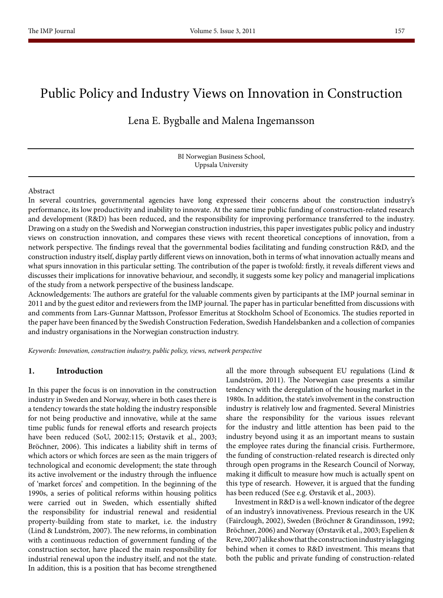# Public Policy and Industry Views on Innovation in Construction

Lena E. Bygballe and Malena Ingemansson

BI Norwegian Business School, Uppsala University

## Abstract

In several countries, governmental agencies have long expressed their concerns about the construction industry's performance, its low productivity and inability to innovate. At the same time public funding of construction-related research and development (R&D) has been reduced, and the responsibility for improving performance transferred to the industry. Drawing on a study on the Swedish and Norwegian construction industries, this paper investigates public policy and industry views on construction innovation, and compares these views with recent theoretical conceptions of innovation, from a network perspective. The findings reveal that the governmental bodies facilitating and funding construction R&D, and the construction industry itself, display partly different views on innovation, both in terms of what innovation actually means and what spurs innovation in this particular setting. The contribution of the paper is twofold: firstly, it reveals different views and discusses their implications for innovative behaviour, and secondly, it suggests some key policy and managerial implications of the study from a network perspective of the business landscape.

Acknowledgements: The authors are grateful for the valuable comments given by participants at the IMP journal seminar in 2011 and by the guest editor and reviewers from the IMP journal. The paper has in particular benefitted from discussions with and comments from Lars-Gunnar Mattsson, Professor Emeritus at Stockholm School of Economics. The studies reported in the paper have been financed by the Swedish Construction Federation, Swedish Handelsbanken and a collection of companies and industry organisations in the Norwegian construction industry.

*Keywords: Innovation, construction industry, public policy, views, network perspective*

# **1. Introduction**

In this paper the focus is on innovation in the construction industry in Sweden and Norway, where in both cases there is a tendency towards the state holding the industry responsible for not being productive and innovative, while at the same time public funds for renewal efforts and research projects have been reduced (SoU, 2002:115; Ørstavik et al., 2003; Bröchner, 2006). This indicates a liability shift in terms of which actors or which forces are seen as the main triggers of technological and economic development; the state through its active involvement or the industry through the influence of 'market forces' and competition. In the beginning of the 1990s, a series of political reforms within housing politics were carried out in Sweden, which essentially shifted the responsibility for industrial renewal and residential property-building from state to market, i.e. the industry (Lind & Lundström, 2007). The new reforms, in combination with a continuous reduction of government funding of the construction sector, have placed the main responsibility for industrial renewal upon the industry itself, and not the state. In addition, this is a position that has become strengthened

all the more through subsequent EU regulations (Lind & Lundström, 2011). The Norwegian case presents a similar tendency with the deregulation of the housing market in the 1980s. In addition, the state's involvement in the construction industry is relatively low and fragmented. Several Ministries share the responsibility for the various issues relevant for the industry and little attention has been paid to the industry beyond using it as an important means to sustain the employee rates during the financial crisis. Furthermore, the funding of construction-related research is directed only through open programs in the Research Council of Norway, making it difficult to measure how much is actually spent on this type of research. However, it is argued that the funding has been reduced (See e.g. Ørstavik et al., 2003).

Investment in R&D is a well-known indicator of the degree of an industry's innovativeness. Previous research in the UK (Fairclough, 2002), Sweden (Bröchner & Grandinsson, 1992; Bröchner, 2006) and Norway (Ørstavik et al., 2003; Espelien & Reve, 2007) alike show that the construction industry is lagging behind when it comes to R&D investment. This means that both the public and private funding of construction-related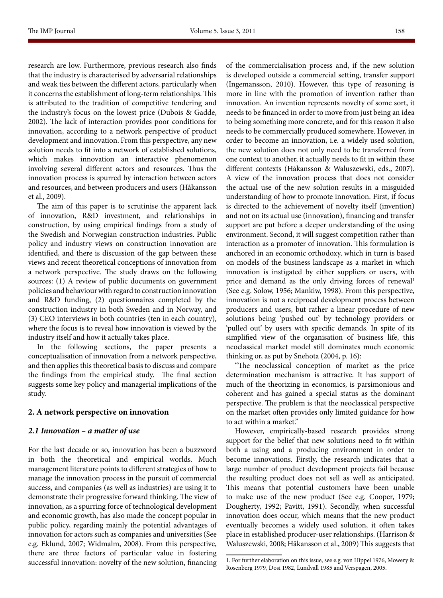research are low. Furthermore, previous research also finds that the industry is characterised by adversarial relationships and weak ties between the different actors, particularly when it concerns the establishment of long-term relationships. This is attributed to the tradition of competitive tendering and the industry's focus on the lowest price (Dubois & Gadde, 2002). The lack of interaction provides poor conditions for innovation, according to a network perspective of product development and innovation. From this perspective, any new solution needs to fit into a network of established solutions, which makes innovation an interactive phenomenon involving several different actors and resources. Thus the innovation process is spurred by interaction between actors and resources, and between producers and users (Håkansson et al., 2009).

The aim of this paper is to scrutinise the apparent lack of innovation, R&D investment, and relationships in construction, by using empirical findings from a study of the Swedish and Norwegian construction industries. Public policy and industry views on construction innovation are identified, and there is discussion of the gap between these views and recent theoretical conceptions of innovation from a network perspective. The study draws on the following sources: (1) A review of public documents on government policies and behaviour with regard to construction innovation and R&D funding, (2) questionnaires completed by the construction industry in both Sweden and in Norway, and (3) CEO interviews in both countries (ten in each country), where the focus is to reveal how innovation is viewed by the industry itself and how it actually takes place.

In the following sections, the paper presents a conceptualisation of innovation from a network perspective, and then applies this theoretical basis to discuss and compare the findings from the empirical study. The final section suggests some key policy and managerial implications of the study.

## **2. A network perspective on innovation**

## *2.1 Innovation – a matter of use*

For the last decade or so, innovation has been a buzzword in both the theoretical and empirical worlds. Much management literature points to different strategies of how to manage the innovation process in the pursuit of commercial success, and companies (as well as industries) are using it to demonstrate their progressive forward thinking. The view of innovation, as a spurring force of technological development and economic growth, has also made the concept popular in public policy, regarding mainly the potential advantages of innovation for actors such as companies and universities (See e.g. Eklund, 2007; Widmalm, 2008). From this perspective, there are three factors of particular value in fostering successful innovation: novelty of the new solution, financing

of the commercialisation process and, if the new solution is developed outside a commercial setting, transfer support (Ingemansson, 2010). However, this type of reasoning is more in line with the promotion of invention rather than innovation. An invention represents novelty of some sort, it needs to be financed in order to move from just being an idea to being something more concrete, and for this reason it also needs to be commercially produced somewhere. However, in order to become an innovation, i.e. a widely used solution, the new solution does not only need to be transferred from one context to another, it actually needs to fit in within these different contexts (Håkansson & Waluszewski, eds., 2007). A view of the innovation process that does not consider the actual use of the new solution results in a misguided understanding of how to promote innovation. First, if focus is directed to the achievement of novelty itself (invention) and not on its actual use (innovation), financing and transfer support are put before a deeper understanding of the using environment. Second, it will suggest competition rather than interaction as a promoter of innovation. This formulation is anchored in an economic orthodoxy, which in turn is based on models of the business landscape as a market in which innovation is instigated by either suppliers or users, with price and demand as the only driving forces of renewal<sup>1</sup> (See e.g. Solow, 1956; Mankiw, 1998). From this perspective, innovation is not a reciprocal development process between producers and users, but rather a linear procedure of new solutions being 'pushed out' by technology providers or 'pulled out' by users with specific demands. In spite of its simplified view of the organisation of business life, this neoclassical market model still dominates much economic thinking or, as put by Snehota (2004, p. 16):

"The neoclassical conception of market as the price determination mechanism is attractive. It has support of much of the theorizing in economics, is parsimonious and coherent and has gained a special status as the dominant perspective. The problem is that the neoclassical perspective on the market often provides only limited guidance for how to act within a market."

However, empirically-based research provides strong support for the belief that new solutions need to fit within both a using and a producing environment in order to become innovations. Firstly, the research indicates that a large number of product development projects fail because the resulting product does not sell as well as anticipated. This means that potential customers have been unable to make use of the new product (See e.g. Cooper, 1979; Dougherty, 1992; Pavitt, 1991). Secondly, when successful innovation does occur, which means that the new product eventually becomes a widely used solution, it often takes place in established producer-user relationships. (Harrison & Waluszewski, 2008; Håkansson et al., 2009) This suggests that

<sup>1.</sup> For further elaboration on this issue, see e.g. von Hippel 1976, Mowery & Rosenberg 1979, Dosi 1982, Lundvall 1985 and Verspagen, 2005.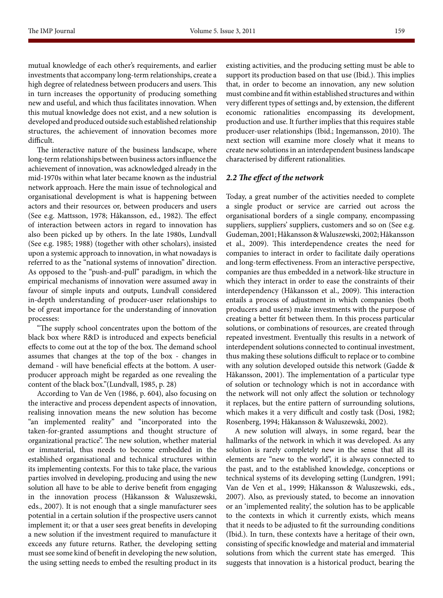mutual knowledge of each other's requirements, and earlier investments that accompany long-term relationships, create a high degree of relatedness between producers and users. This in turn increases the opportunity of producing something new and useful, and which thus facilitates innovation. When this mutual knowledge does not exist, and a new solution is developed and produced outside such established relationship structures, the achievement of innovation becomes more difficult.

The interactive nature of the business landscape, where long-term relationships between business actors influence the achievement of innovation, was acknowledged already in the mid-1970s within what later became known as the industrial network approach. Here the main issue of technological and organisational development is what is happening between actors and their resources or, between producers and users (See e.g. Mattsson, 1978; Håkansson, ed., 1982). The effect of interaction between actors in regard to innovation has also been picked up by others. In the late 1980s, Lundvall (See e.g. 1985; 1988) (together with other scholars), insisted upon a systemic approach to innovation, in what nowadays is referred to as the "national systems of innovation" direction. As opposed to the "push-and-pull" paradigm, in which the empirical mechanisms of innovation were assumed away in favour of simple inputs and outputs, Lundvall considered in-depth understanding of producer-user relationships to be of great importance for the understanding of innovation processes:

"The supply school concentrates upon the bottom of the black box where R&D is introduced and expects beneficial effects to come out at the top of the box. The demand school assumes that changes at the top of the box - changes in demand - will have beneficial effects at the bottom. A userproducer approach might be regarded as one revealing the content of the black box."(Lundvall, 1985, p. 28)

According to Van de Ven (1986, p. 604), also focusing on the interactive and process dependent aspects of innovation, realising innovation means the new solution has become "an implemented reality" and "incorporated into the taken-for-granted assumptions and thought structure of organizational practice". The new solution, whether material or immaterial, thus needs to become embedded in the established organisational and technical structures within its implementing contexts. For this to take place, the various parties involved in developing, producing and using the new solution all have to be able to derive benefit from engaging in the innovation process (Håkansson & Waluszewski, eds., 2007). It is not enough that a single manufacturer sees potential in a certain solution if the prospective users cannot implement it; or that a user sees great benefits in developing a new solution if the investment required to manufacture it exceeds any future returns. Rather, the developing setting must see some kind of benefit in developing the new solution, the using setting needs to embed the resulting product in its

existing activities, and the producing setting must be able to support its production based on that use (Ibid.). This implies that, in order to become an innovation, any new solution must combine and fit within established structures and within very different types of settings and, by extension, the different economic rationalities encompassing its development, production and use. It further implies that this requires stable producer-user relationships (Ibid.; Ingemansson, 2010). The next section will examine more closely what it means to create new solutions in an interdependent business landscape characterised by different rationalities.

## *2.2 The effect of the network*

Today, a great number of the activities needed to complete a single product or service are carried out across the organisational borders of a single company, encompassing suppliers, suppliers' suppliers, customers and so on (See e.g. Gudeman, 2001; Håkansson & Waluszewski, 2002; Håkansson et al., 2009). This interdependence creates the need for companies to interact in order to facilitate daily operations and long-term effectiveness. From an interactive perspective, companies are thus embedded in a network-like structure in which they interact in order to ease the constraints of their interdependency (Håkansson et al., 2009). This interaction entails a process of adjustment in which companies (both producers and users) make investments with the purpose of creating a better fit between them. In this process particular solutions, or combinations of resources, are created through repeated investment. Eventually this results in a network of interdependent solutions connected to continual investment, thus making these solutions difficult to replace or to combine with any solution developed outside this network (Gadde & Håkansson, 2001). The implementation of a particular type of solution or technology which is not in accordance with the network will not only affect the solution or technology it replaces, but the entire pattern of surrounding solutions, which makes it a very difficult and costly task (Dosi, 1982; Rosenberg, 1994; Håkansson & Waluszewski, 2002).

A new solution will always, in some regard, bear the hallmarks of the network in which it was developed. As any solution is rarely completely new in the sense that all its elements are "new to the world", it is always connected to the past, and to the established knowledge, conceptions or technical systems of its developing setting (Lundgren, 1991; Van de Ven et al., 1999; Håkansson & Waluszewski, eds., 2007). Also, as previously stated, to become an innovation or an 'implemented reality', the solution has to be applicable to the contexts in which it currently exists, which means that it needs to be adjusted to fit the surrounding conditions (Ibid.). In turn, these contexts have a heritage of their own, consisting of specific knowledge and material and immaterial solutions from which the current state has emerged. This suggests that innovation is a historical product, bearing the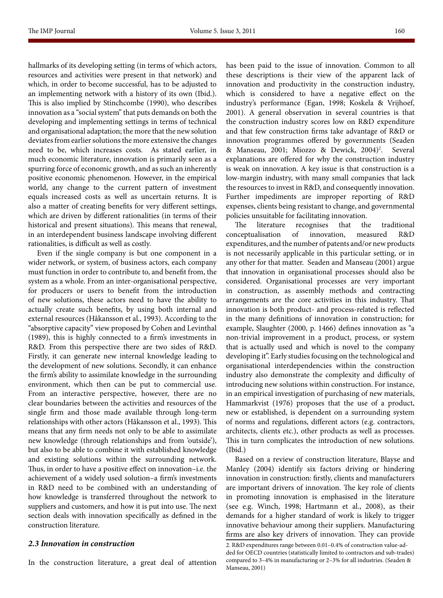hallmarks of its developing setting (in terms of which actors, resources and activities were present in that network) and which, in order to become successful, has to be adjusted to an implementing network with a history of its own (Ibid.). This is also implied by Stinchcombe (1990), who describes innovation as a "social system" that puts demands on both the developing and implementing settings in terms of technical and organisational adaptation; the more that the new solution deviates from earlier solutions the more extensive the changes need to be, which increases costs. As stated earlier, in much economic literature, innovation is primarily seen as a spurring force of economic growth, and as such an inherently positive economic phenomenon. However, in the empirical world, any change to the current pattern of investment equals increased costs as well as uncertain returns. It is also a matter of creating benefits for very different settings, which are driven by different rationalities (in terms of their historical and present situations). This means that renewal, in an interdependent business landscape involving different rationalities, is difficult as well as costly.

Even if the single company is but one component in a wider network, or system, of business actors, each company must function in order to contribute to, and benefit from, the system as a whole. From an inter-organisational perspective, for producers or users to benefit from the introduction of new solutions, these actors need to have the ability to actually create such benefits, by using both internal and external resources (Håkansson et al., 1993). According to the "absorptive capacity" view proposed by Cohen and Levinthal (1989), this is highly connected to a firm's investments in R&D. From this perspective there are two sides of R&D. Firstly, it can generate new internal knowledge leading to the development of new solutions. Secondly, it can enhance the firm's ability to assimilate knowledge in the surrounding environment, which then can be put to commercial use. From an interactive perspective, however, there are no clear boundaries between the activities and resources of the single firm and those made available through long-term relationships with other actors (Håkansson et al., 1993). This means that any firm needs not only to be able to assimilate new knowledge (through relationships and from 'outside'), but also to be able to combine it with established knowledge and existing solutions within the surrounding network. Thus, in order to have a positive effect on innovation–i.e. the achievement of a widely used solution–a firm's investments in R&D need to be combined with an understanding of how knowledge is transferred throughout the network to suppliers and customers, and how it is put into use. The next section deals with innovation specifically as defined in the construction literature.

#### *2.3 Innovation in construction*

In the construction literature, a great deal of attention

has been paid to the issue of innovation. Common to all these descriptions is their view of the apparent lack of innovation and productivity in the construction industry, which is considered to have a negative effect on the industry's performance (Egan, 1998; Koskela & Vrijhoef, 2001). A general observation in several countries is that the construction industry scores low on R&D expenditure and that few construction firms take advantage of R&D or innovation programmes offered by governments (Seaden & Manseau, 2001; Miozzo & Dewick, 2004)2 . Several explanations are offered for why the construction industry is weak on innovation. A key issue is that construction is a low-margin industry, with many small companies that lack the resources to invest in R&D, and consequently innovation. Further impediments are improper reporting of R&D expenses, clients being resistant to change, and governmental policies unsuitable for facilitating innovation.

The literature recognises that the traditional conceptualisation of innovation, measured R&D expenditures, and the number of patents and/or new products is not necessarily applicable in this particular setting, or in any other for that matter. Seaden and Manseau (2001) argue that innovation in organisational processes should also be considered. Organisational processes are very important in construction, as assembly methods and contracting arrangements are the core activities in this industry. That innovation is both product- and process-related is reflected in the many definitions of innovation in construction; for example, Slaughter (2000, p. 1466) defines innovation as "a non-trivial improvement in a product, process, or system that is actually used and which is novel to the company developing it". Early studies focusing on the technological and organisational interdependencies within the construction industry also demonstrate the complexity and difficulty of introducing new solutions within construction. For instance, in an empirical investigation of purchasing of new materials, Hammarkvist (1976) proposes that the use of a product, new or established, is dependent on a surrounding system of norms and regulations, different actors (e.g. contractors, architects, clients etc.), other products as well as processes. This in turn complicates the introduction of new solutions. (Ibid.)

Based on a review of construction literature, Blayse and Manley (2004) identify six factors driving or hindering innovation in construction: firstly, clients and manufacturers are important drivers of innovation. The key role of clients in promoting innovation is emphasised in the literature (see e.g. Winch, 1998; Hartmann et al., 2008), as their demands for a higher standard of work is likely to trigger innovative behaviour among their suppliers. Manufacturing firms are also key drivers of innovation. They can provide

<sup>2.</sup> R&D expenditures range between 0.01–0.4% of construction value-added for OECD countries (statistically limited to contractors and sub-trades) compared to 3–4% in manufacturing or 2–3% for all industries. (Seaden & Manseau, 2001)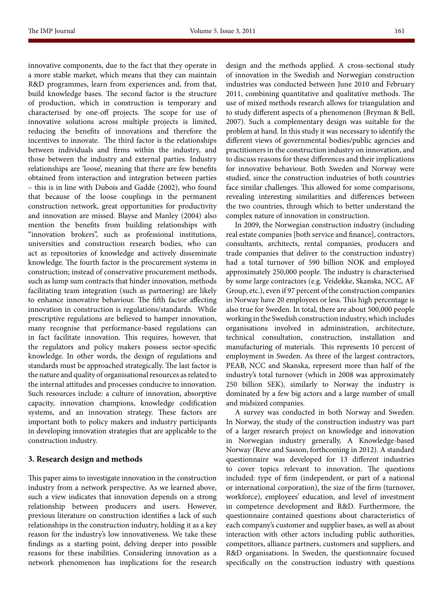innovative components, due to the fact that they operate in a more stable market, which means that they can maintain R&D programmes, learn from experiences and, from that, build knowledge bases. The second factor is the structure of production, which in construction is temporary and characterised by one-off projects. The scope for use of innovative solutions across multiple projects is limited, reducing the benefits of innovations and therefore the incentives to innovate. The third factor is the relationships between individuals and firms within the industry, and those between the industry and external parties. Industry relationships are 'loose', meaning that there are few benefits obtained from interaction and integration between parties – this is in line with Dubois and Gadde (2002), who found that because of the loose couplings in the permanent construction network, great opportunities for productivity and innovation are missed. Blayse and Manley (2004) also mention the benefits from building relationships with "innovation brokers", such as professional institutions, universities and construction research bodies, who can act as repositories of knowledge and actively disseminate knowledge. The fourth factor is the procurement systems in construction; instead of conservative procurement methods, such as lump sum contracts that hinder innovation, methods facilitating team integration (such as partnering) are likely to enhance innovative behaviour. The fifth factor affecting innovation in construction is regulations/standards. While prescriptive regulations are believed to hamper innovation, many recognise that performance-based regulations can in fact facilitate innovation. This requires, however, that the regulators and policy makers possess sector-specific knowledge. In other words, the design of regulations and standards must be approached strategically. The last factor is the nature and quality of organisational resources as related to the internal attitudes and processes conducive to innovation. Such resources include: a culture of innovation, absorptive capacity, innovation champions, knowledge codification systems, and an innovation strategy. These factors are important both to policy makers and industry participants in developing innovation strategies that are applicable to the construction industry.

# **3. Research design and methods**

This paper aims to investigate innovation in the construction industry from a network perspective. As we learned above, such a view indicates that innovation depends on a strong relationship between producers and users. However, previous literature on construction identifies a lack of such relationships in the construction industry, holding it as a key reason for the industry's low innovativeness. We take these findings as a starting point, delving deeper into possible reasons for these inabilities. Considering innovation as a network phenomenon has implications for the research design and the methods applied. A cross-sectional study of innovation in the Swedish and Norwegian construction industries was conducted between June 2010 and February 2011, combining quantitative and qualitative methods. The use of mixed methods research allows for triangulation and to study different aspects of a phenomenon (Bryman & Bell, 2007). Such a complementary design was suitable for the problem at hand. In this study it was necessary to identify the different views of governmental bodies/public agencies and practitioners in the construction industry on innovation, and to discuss reasons for these differences and their implications for innovative behaviour. Both Sweden and Norway were studied, since the construction industries of both countries face similar challenges. This allowed for some comparisons, revealing interesting similarities and differences between the two countries, through which to better understand the complex nature of innovation in construction.

In 2009, the Norwegian construction industry (including real estate companies [both service and finance], contractors, consultants, architects, rental companies, producers and trade companies that deliver to the construction industry) had a total turnover of 590 billion NOK and employed approximately 250,000 people. The industry is characterised by some large contractors (e.g. Veidekke, Skanska, NCC, AF Group, etc.), even if 97 percent of the construction companies in Norway have 20 employees or less. This high percentage is also true for Sweden. In total, there are about 500,000 people working in the Swedish construction industry, which includes organisations involved in administration, architecture, technical consultation, construction, installation and manufacturing of materials. This represents 10 percent of employment in Sweden. As three of the largest contractors, PEAB, NCC and Skanska, represent more than half of the industry's total turnover (which in 2008 was approximately 250 billion SEK), similarly to Norway the industry is dominated by a few big actors and a large number of small and midsized companies.

A survey was conducted in both Norway and Sweden. In Norway, the study of the construction industry was part of a larger research project on knowledge and innovation in Norwegian industry generally, A Knowledge-based Norway (Reve and Sasson, forthcoming in 2012). A standard questionnaire was developed for 13 different industries to cover topics relevant to innovation. The questions included: type of firm (independent, or part of a national or international corporation), the size of the firm (turnover, workforce), employees' education, and level of investment in competence development and R&D. Furthermore, the questionnaire contained questions about characteristics of each company's customer and supplier bases, as well as about interaction with other actors including public authorities, competitors, alliance partners, customers and suppliers, and R&D organisations. In Sweden, the questionnaire focused specifically on the construction industry with questions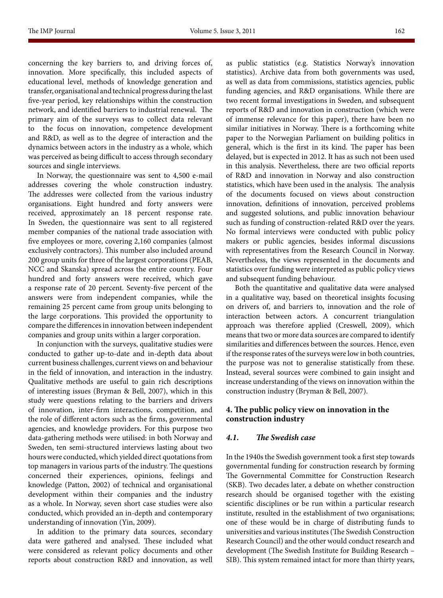concerning the key barriers to, and driving forces of, innovation. More specifically, this included aspects of educational level, methods of knowledge generation and transfer, organisational and technical progress during the last five-year period, key relationships within the construction network, and identified barriers to industrial renewal. The primary aim of the surveys was to collect data relevant to the focus on innovation, competence development and R&D, as well as to the degree of interaction and the dynamics between actors in the industry as a whole, which was perceived as being difficult to access through secondary sources and single interviews.

In Norway, the questionnaire was sent to 4,500 e-mail addresses covering the whole construction industry. The addresses were collected from the various industry organisations. Eight hundred and forty answers were received, approximately an 18 percent response rate. In Sweden, the questionnaire was sent to all registered member companies of the national trade association with five employees or more, covering 2,160 companies (almost exclusively contractors). This number also included around 200 group units for three of the largest corporations (PEAB, NCC and Skanska) spread across the entire country. Four hundred and forty answers were received, which gave a response rate of 20 percent. Seventy-five percent of the answers were from independent companies, while the remaining 25 percent came from group units belonging to the large corporations. This provided the opportunity to compare the differences in innovation between independent companies and group units within a larger corporation.

In conjunction with the surveys, qualitative studies were conducted to gather up-to-date and in-depth data about current business challenges, current views on and behaviour in the field of innovation, and interaction in the industry. Qualitative methods are useful to gain rich descriptions of interesting issues (Bryman & Bell, 2007), which in this study were questions relating to the barriers and drivers of innovation, inter-firm interactions, competition, and the role of different actors such as the firms, governmental agencies, and knowledge providers. For this purpose two data-gathering methods were utilised: in both Norway and Sweden, ten semi-structured interviews lasting about two hours were conducted, which yielded direct quotations from top managers in various parts of the industry. The questions concerned their experiences, opinions, feelings and knowledge (Patton, 2002) of technical and organisational development within their companies and the industry as a whole. In Norway, seven short case studies were also conducted, which provided an in-depth and contemporary understanding of innovation (Yin, 2009).

In addition to the primary data sources, secondary data were gathered and analysed. These included what were considered as relevant policy documents and other reports about construction R&D and innovation, as well as public statistics (e.g. Statistics Norway's innovation statistics). Archive data from both governments was used, as well as data from commissions, statistics agencies, public funding agencies, and R&D organisations. While there are two recent formal investigations in Sweden, and subsequent reports of R&D and innovation in construction (which were of immense relevance for this paper), there have been no similar initiatives in Norway. There is a forthcoming white paper to the Norwegian Parliament on building politics in general, which is the first in its kind. The paper has been delayed, but is expected in 2012. It has as such not been used in this analysis. Nevertheless, there are two official reports of R&D and innovation in Norway and also construction statistics, which have been used in the analysis. The analysis of the documents focused on views about construction innovation, definitions of innovation, perceived problems and suggested solutions, and public innovation behaviour such as funding of construction-related R&D over the years. No formal interviews were conducted with public policy makers or public agencies, besides informal discussions with representatives from the Research Council in Norway. Nevertheless, the views represented in the documents and statistics over funding were interpreted as public policy views and subsequent funding behaviour.

Both the quantitative and qualitative data were analysed in a qualitative way, based on theoretical insights focusing on drivers of, and barriers to, innovation and the role of interaction between actors. A concurrent triangulation approach was therefore applied (Creswell, 2009), which means that two or more data sources are compared to identify similarities and differences between the sources. Hence, even if the response rates of the surveys were low in both countries, the purpose was not to generalise statistically from these. Instead, several sources were combined to gain insight and increase understanding of the views on innovation within the construction industry (Bryman & Bell, 2007).

# **4. The public policy view on innovation in the construction industry**

# *4.1. The Swedish case*

In the 1940s the Swedish government took a first step towards governmental funding for construction research by forming The Governmental Committee for Construction Research (SKB). Two decades later, a debate on whether construction research should be organised together with the existing scientific disciplines or be run within a particular research institute, resulted in the establishment of two organisations; one of these would be in charge of distributing funds to universities and various institutes (The Swedish Construction Research Council) and the other would conduct research and development (The Swedish Institute for Building Research – SIB). This system remained intact for more than thirty years,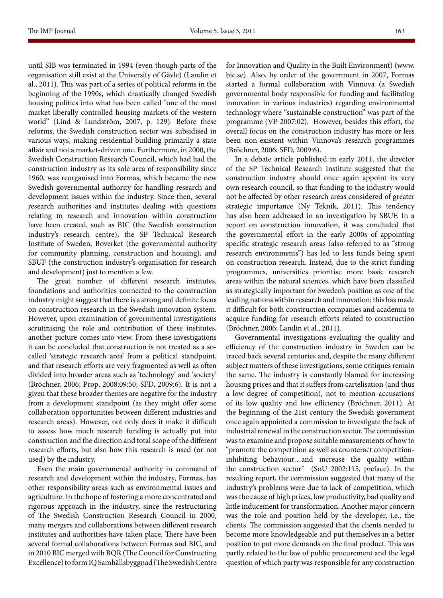until SIB was terminated in 1994 (even though parts of the organisation still exist at the University of Gävle) (Landin et al., 2011). This was part of a series of political reforms in the beginning of the 1990s, which drastically changed Swedish housing politics into what has been called "one of the most market liberally controlled housing markets of the western world" (Lind & Lundström, 2007, p. 129). Before these reforms, the Swedish construction sector was subsidised in various ways, making residential building primarily a state affair and not a market-driven one. Furthermore, in 2000, the Swedish Construction Research Council, which had had the construction industry as its sole area of responsibility since 1960, was reorganised into Formas, which became the new Swedish governmental authority for handling research and development issues within the industry. Since then, several research authorities and institutes dealing with questions relating to research and innovation within construction have been created, such as BIC (the Swedish construction industry's research centre), the SP Technical Research Institute of Sweden, Boverket (the governmental authority for community planning, construction and housing), and SBUF (the construction industry's organisation for research and development) just to mention a few.

The great number of different research institutes, foundations and authorities connected to the construction industry might suggest that there is a strong and definite focus on construction research in the Swedish innovation system. However, upon examination of governmental investigations scrutinising the role and contribution of these institutes, another picture comes into view. From these investigations it can be concluded that construction is not treated as a socalled 'strategic research area' from a political standpoint, and that research efforts are very fragmented as well as often divided into broader areas such as 'technology' and 'society' (Bröchner, 2006; Prop, 2008:09:50; SFD, 2009:6). It is not a given that these broader themes are negative for the industry from a development standpoint (as they might offer some collaboration opportunities between different industries and research areas). However, not only does it make it difficult to assess how much research funding is actually put into construction and the direction and total scope of the different research efforts, but also how this research is used (or not used) by the industry.

Even the main governmental authority in command of research and development within the industry, Formas, has other responsibility areas such as environmental issues and agriculture. In the hope of fostering a more concentrated and rigorous approach in the industry, since the restructuring of The Swedish Construction Research Council in 2000, many mergers and collaborations between different research institutes and authorities have taken place. There have been several formal collaborations between Formas and BIC, and in 2010 BIC merged with BQR (The Council for Constructing Excellence) to form IQ Samhällsbyggnad (The Swedish Centre

for Innovation and Quality in the Built Environment) (www. bic.se). Also, by order of the government in 2007, Formas started a formal collaboration with Vinnova (a Swedish governmental body responsible for funding and facilitating innovation in various industries) regarding environmental technology where "sustainable construction" was part of the programme (VP 2007:02). However, besides this effort, the overall focus on the construction industry has more or less been non-existent within Vinnova's research programmes (Bröchner, 2006; SFD, 2009:6).

In a debate article published in early 2011, the director of the SP Technical Research Institute suggested that the construction industry should once again appoint its very own research council, so that funding to the industry would not be affected by other research areas considered of greater strategic importance (Ny Teknik, 2011). This tendency has also been addressed in an investigation by SBUF. In a report on construction innovation, it was concluded that the governmental effort in the early 2000s of appointing specific strategic research areas (also referred to as "strong research environments") has led to less funds being spent on construction research. Instead, due to the strict funding programmes, universities prioritise more basic research areas within the natural sciences, which have been classified as strategically important for Sweden's position as one of the leading nations within research and innovation; this has made it difficult for both construction companies and academia to acquire funding for research efforts related to construction (Bröchner, 2006; Landin et al., 2011).

Governmental investigations evaluating the quality and efficiency of the construction industry in Sweden can be traced back several centuries and, despite the many different subject matters of these investigations, some critiques remain the same. The industry is constantly blamed for increasing housing prices and that it suffers from cartelisation (and thus a low degree of competition), not to mention accusations of its low quality and low efficiency (Bröchner, 2011). At the beginning of the 21st century the Swedish government once again appointed a commission to investigate the lack of industrial renewal in the construction sector. The commission was to examine and propose suitable measurements of how to "promote the competition as well as counteract competitioninhibiting behaviour…and increase the quality within the construction sector" (SoU 2002:115, preface). In the resulting report, the commission suggested that many of the industry's problems were due to lack of competition, which was the cause of high prices, low productivity, bad quality and little inducement for transformation. Another major concern was the role and position held by the developer, i.e., the clients. The commission suggested that the clients needed to become more knowledgeable and put themselves in a better position to put more demands on the final product. This was partly related to the law of public procurement and the legal question of which party was responsible for any construction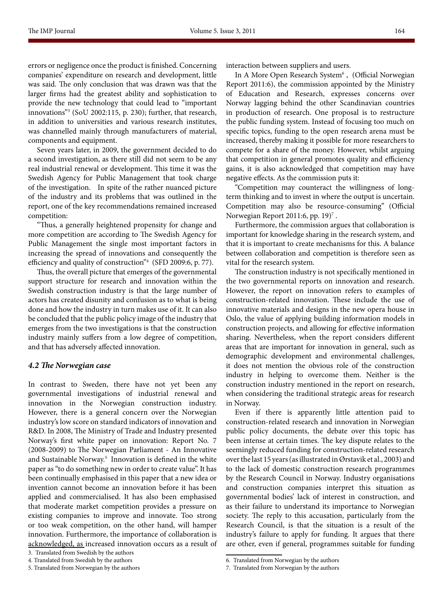errors or negligence once the product is finished. Concerning companies' expenditure on research and development, little was said. The only conclusion that was drawn was that the larger firms had the greatest ability and sophistication to provide the new technology that could lead to "important innovations"3 (SoU 2002:115, p. 230); further, that research, in addition to universities and various research institutes, was channelled mainly through manufacturers of material, components and equipment.

Seven years later, in 2009, the government decided to do a second investigation, as there still did not seem to be any real industrial renewal or development. This time it was the Swedish Agency for Public Management that took charge of the investigation. In spite of the rather nuanced picture of the industry and its problems that was outlined in the report, one of the key recommendations remained increased competition:

"Thus, a generally heightened propensity for change and more competition are according to The Swedish Agency for Public Management the single most important factors in increasing the spread of innovations and consequently the efficiency and quality of construction"4 (SFD 2009:6, p. 77).

Thus, the overall picture that emerges of the governmental support structure for research and innovation within the Swedish construction industry is that the large number of actors has created disunity and confusion as to what is being done and how the industry in turn makes use of it. It can also be concluded that the public policy image of the industry that emerges from the two investigations is that the construction industry mainly suffers from a low degree of competition, and that has adversely affected innovation.

# *4.2 The Norwegian case*

In contrast to Sweden, there have not yet been any governmental investigations of industrial renewal and innovation in the Norwegian construction industry. However, there is a general concern over the Norwegian industry's low score on standard indicators of innovation and R&D. In 2008, The Ministry of Trade and Industry presented Norway's first white paper on innovation: Report No. 7 (2008-2009) to The Norwegian Parliament - An Innovative and Sustainable Norway.<sup>5</sup> Innovation is defined in the white paper as "to do something new in order to create value". It has been continually emphasised in this paper that a new idea or invention cannot become an innovation before it has been applied and commercialised. It has also been emphasised that moderate market competition provides a pressure on existing companies to improve and innovate. Too strong or too weak competition, on the other hand, will hamper innovation. Furthermore, the importance of collaboration is acknowledged, as increased innovation occurs as a result of

5. Translated from Norwegian by the authors

interaction between suppliers and users.

In A More Open Research System<sup>6</sup> , (Official Norwegian Report 2011:6), the commission appointed by the Ministry of Education and Research, expresses concerns over Norway lagging behind the other Scandinavian countries in production of research. One proposal is to restructure the public funding system. Instead of focusing too much on specific topics, funding to the open research arena must be increased, thereby making it possible for more researchers to compete for a share of the money. However, whilst arguing that competition in general promotes quality and efficiency gains, it is also acknowledged that competition may have negative effects. As the commission puts it:

"Competition may counteract the willingness of longterm thinking and to invest in where the output is uncertain. Competition may also be resource-consuming" (Official Norwegian Report 2011:6, pp.  $19$ <sup>7</sup>.

Furthermore, the commission argues that collaboration is important for knowledge sharing in the research system, and that it is important to create mechanisms for this. A balance between collaboration and competition is therefore seen as vital for the research system.

The construction industry is not specifically mentioned in the two governmental reports on innovation and research. However, the report on innovation refers to examples of construction-related innovation. These include the use of innovative materials and designs in the new opera house in Oslo, the value of applying building information models in construction projects, and allowing for effective information sharing. Nevertheless, when the report considers different areas that are important for innovation in general, such as demographic development and environmental challenges, it does not mention the obvious role of the construction industry in helping to overcome them. Neither is the construction industry mentioned in the report on research, when considering the traditional strategic areas for research in Norway.

Even if there is apparently little attention paid to construction-related research and innovation in Norwegian public policy documents, the debate over this topic has been intense at certain times. The key dispute relates to the seemingly reduced funding for construction-related research over the last 15 years (as illustrated in Ørstavik et al., 2003) and to the lack of domestic construction research programmes by the Research Council in Norway. Industry organisations and construction companies interpret this situation as governmental bodies' lack of interest in construction, and as their failure to understand its importance to Norwegian society. The reply to this accusation, particularly from the Research Council, is that the situation is a result of the industry's failure to apply for funding. It argues that there are other, even if general, programmes suitable for funding

<sup>3.</sup> Translated from Swedish by the authors

<sup>4.</sup> Translated from Swedish by the authors

<sup>6.</sup> Translated from Norwegian by the authors

<sup>7.</sup> Translated from Norwegian by the authors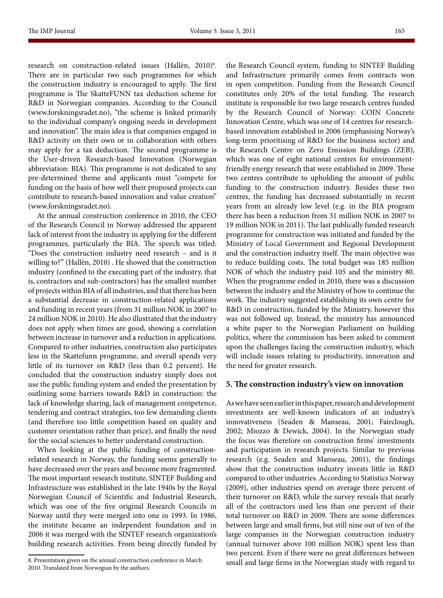research on construction-related issues (Hallèn, 2010)<sup>8</sup>. There are in particular two such programmes for which the construction industry is encouraged to apply. The first programme is The SkatteFUNN tax deduction scheme for R&D in Norwegian companies. According to the Council (www.forskningsradet.no), "the scheme is linked primarily to the individual company's ongoing needs in development and innovation". The main idea is that companies engaged in R&D activity on their own or in collaboration with others may apply for a tax deduction. The second programme is the User-driven Research-based Innovation (Norwegian abbreviation: BIA). This programme is not dedicated to any pre-determined theme and applicants must "compete for funding on the basis of how well their proposed projects can contribute to research-based innovation and value creation" (www.forskningsradet.no).

At the annual construction conference in 2010, the CEO of the Research Council in Norway addressed the apparent lack of interest from the industry in applying for the different programmes, particularly the BIA. The speech was titled: "Does the construction industry need research – and is it willing to?" (Hallèn, 2010) . He showed that the construction industry (confined to the executing part of the industry, that is, contractors and sub-contractors) has the smallest number of projects within BIA of all industries, and that there has been a substantial decrease in construction-related applications and funding in recent years (from 31 million NOK in 2007 to 24 million NOK in 2010). He also illustrated that the industry does not apply when times are good, showing a correlation between increase in turnover and a reduction in applications. Compared to other industries, construction also participates less in the Skattefunn programme, and overall spends very little of its turnover on R&D (less than 0.2 percent). He concluded that the construction industry simply does not use the public funding system and ended the presentation by outlining some barriers towards R&D in construction: the lack of knowledge sharing, lack of management competence, tendering and contract strategies, too few demanding clients (and therefore too little competition based on quality and customer orientation rather than price), and finally the need for the social sciences to better understand construction.

When looking at the public funding of constructionrelated research in Norway, the funding seems generally to have decreased over the years and become more fragmented. The most important research institute, SINTEF Building and Infrastructure was established in the late 1940s by the Royal Norwegian Council of Scientific and Industrial Research, which was one of the five original Research Councils in Norway until they were merged into one in 1993. In 1986, the institute became an independent foundation and in 2006 it was merged with the SINTEF research organization's building research activities. From being directly funded by the Research Council system, funding to SINTEF Building and Infrastructure primarily comes from contracts won in open competition. Funding from the Research Council constitutes only 20% of the total funding. The research institute is responsible for two large research centres funded by the Research Council of Norway: COIN Concrete Innovation Centre, which was one of 14 centres for researchbased innovation established in 2006 (emphasising Norway's long-term prioritising of R&D for the business sector) and the Research Centre on Zero Emission Buildings (ZEB), which was one of eight national centres for environmentfriendly energy research that were established in 2009. These two centres contribute to upholding the amount of public funding to the construction industry. Besides these two centres, the funding has decreased substantially in recent years from an already low level (e.g. in the BIA program there has been a reduction from 31 million NOK in 2007 to 19 million NOK in 2011). The last publically funded research programme for construction was initiated and funded by the Ministry of Local Government and Regional Development and the construction industry itself. The main objective was to reduce building costs. The total budget was 185 million NOK of which the industry paid 105 and the ministry 80. When the programme ended in 2010, there was a discussion between the industry and the Ministry of how to continue the work. The industry suggested establishing its own centre for R&D in construction, funded by the Ministry, however this was not followed up. Instead, the ministry has announced a white paper to the Norwegian Parliament on building politics, where the commission has been asked to comment upon the challenges facing the construction industry, which will include issues relating to productivity, innovation and the need for greater research.

## **5. The construction industry's view on innovation**

As we have seen earlier in this paper, research and development investments are well-known indicators of an industry's innovativeness (Seaden & Manseau, 2001; Fairclough, 2002; Miozzo & Dewick, 2004). In the Norwegian study the focus was therefore on construction firms' investments and participation in research projects. Similar to previous research (e.g. Seaden and Manseau, 2001), the findings show that the construction industry invests little in R&D compared to other industries. According to Statistics Norway (2009), other industries spend on average three percent of their turnover on R&D, while the survey reveals that nearly all of the contractors used less than one percent of their total turnover on R&D in 2009. There are some differences between large and small firms, but still nine out of ten of the large companies in the Norwegian construction industry (annual turnover above 100 million NOK) spent less than two percent. Even if there were no great differences between small and large firms in the Norwegian study with regard to

<sup>8.</sup> Presentation given on the annual construction conference in March 2010. Translated from Norwegian by the authors.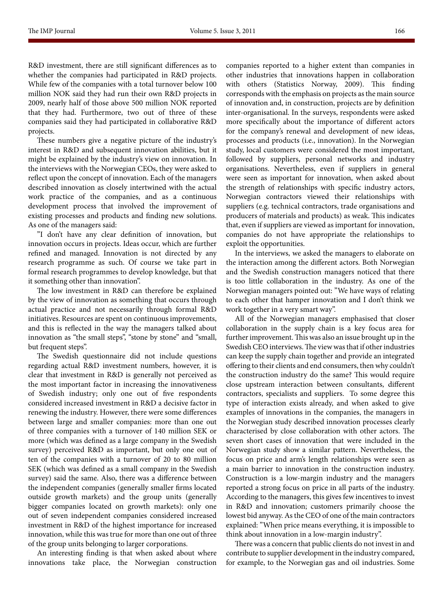R&D investment, there are still significant differences as to whether the companies had participated in R&D projects. While few of the companies with a total turnover below 100 million NOK said they had run their own R&D projects in 2009, nearly half of those above 500 million NOK reported that they had. Furthermore, two out of three of these companies said they had participated in collaborative R&D projects.

These numbers give a negative picture of the industry's interest in R&D and subsequent innovation abilities, but it might be explained by the industry's view on innovation. In the interviews with the Norwegian CEOs, they were asked to reflect upon the concept of innovation. Each of the managers described innovation as closely intertwined with the actual work practice of the companies, and as a continuous development process that involved the improvement of existing processes and products and finding new solutions. As one of the managers said:

"I don't have any clear definition of innovation, but innovation occurs in projects. Ideas occur, which are further refined and managed. Innovation is not directed by any research programme as such. Of course we take part in formal research programmes to develop knowledge, but that it something other than innovation".

The low investment in R&D can therefore be explained by the view of innovation as something that occurs through actual practice and not necessarily through formal R&D initiatives. Resources are spent on continuous improvements, and this is reflected in the way the managers talked about innovation as "the small steps", "stone by stone" and "small, but frequent steps".

The Swedish questionnaire did not include questions regarding actual R&D investment numbers, however, it is clear that investment in R&D is generally not perceived as the most important factor in increasing the innovativeness of Swedish industry; only one out of five respondents considered increased investment in R&D a decisive factor in renewing the industry. However, there were some differences between large and smaller companies: more than one out of three companies with a turnover of 140 million SEK or more (which was defined as a large company in the Swedish survey) perceived R&D as important, but only one out of ten of the companies with a turnover of 20 to 80 million SEK (which was defined as a small company in the Swedish survey) said the same. Also, there was a difference between the independent companies (generally smaller firms located outside growth markets) and the group units (generally bigger companies located on growth markets): only one out of seven independent companies considered increased investment in R&D of the highest importance for increased innovation, while this was true for more than one out of three of the group units belonging to larger corporations.

An interesting finding is that when asked about where innovations take place, the Norwegian construction companies reported to a higher extent than companies in other industries that innovations happen in collaboration with others (Statistics Norway, 2009). This finding corresponds with the emphasis on projects as the main source of innovation and, in construction, projects are by definition inter-organisational. In the surveys, respondents were asked more specifically about the importance of different actors for the company's renewal and development of new ideas, processes and products (i.e., innovation). In the Norwegian study, local customers were considered the most important, followed by suppliers, personal networks and industry organisations. Nevertheless, even if suppliers in general were seen as important for innovation, when asked about the strength of relationships with specific industry actors, Norwegian contractors viewed their relationships with suppliers (e.g. technical contractors, trade organisations and producers of materials and products) as weak. This indicates that, even if suppliers are viewed as important for innovation, companies do not have appropriate the relationships to exploit the opportunities.

In the interviews, we asked the managers to elaborate on the interaction among the different actors. Both Norwegian and the Swedish construction managers noticed that there is too little collaboration in the industry. As one of the Norwegian managers pointed out: "We have ways of relating to each other that hamper innovation and I don't think we work together in a very smart way".

All of the Norwegian managers emphasised that closer collaboration in the supply chain is a key focus area for further improvement. This was also an issue brought up in the Swedish CEO interviews. The view was that if other industries can keep the supply chain together and provide an integrated offering to their clients and end consumers, then why couldn't the construction industry do the same? This would require close upstream interaction between consultants, different contractors, specialists and suppliers. To some degree this type of interaction exists already, and when asked to give examples of innovations in the companies, the managers in the Norwegian study described innovation processes clearly characterised by close collaboration with other actors. The seven short cases of innovation that were included in the Norwegian study show a similar pattern. Nevertheless, the focus on price and arm's length relationships were seen as a main barrier to innovation in the construction industry. Construction is a low-margin industry and the managers reported a strong focus on price in all parts of the industry. According to the managers, this gives few incentives to invest in R&D and innovation; customers primarily choose the lowest bid anyway. As the CEO of one of the main contractors explained: "When price means everything, it is impossible to think about innovation in a low-margin industry".

There was a concern that public clients do not invest in and contribute to supplier development in the industry compared, for example, to the Norwegian gas and oil industries. Some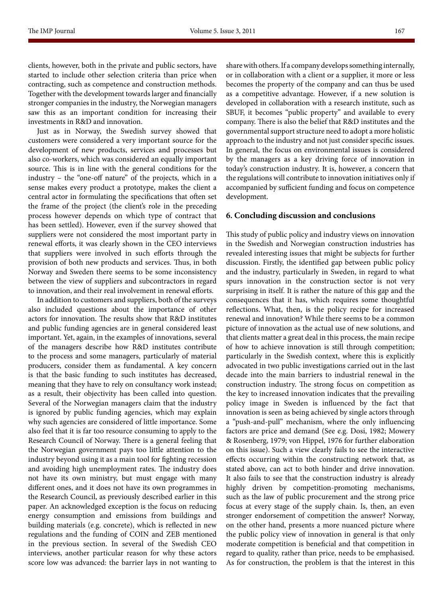clients, however, both in the private and public sectors, have started to include other selection criteria than price when contracting, such as competence and construction methods. Together with the development towards larger and financially stronger companies in the industry, the Norwegian managers saw this as an important condition for increasing their investments in R&D and innovation.

Just as in Norway, the Swedish survey showed that customers were considered a very important source for the development of new products, services and processes but also co-workers, which was considered an equally important source. This is in line with the general conditions for the industry – the "one-off nature" of the projects, which in a sense makes every product a prototype, makes the client a central actor in formulating the specifications that often set the frame of the project (the client's role in the preceding process however depends on which type of contract that has been settled). However, even if the survey showed that suppliers were not considered the most important party in renewal efforts, it was clearly shown in the CEO interviews that suppliers were involved in such efforts through the provision of both new products and services. Thus, in both Norway and Sweden there seems to be some inconsistency between the view of suppliers and subcontractors in regard to innovation, and their real involvement in renewal efforts.

In addition to customers and suppliers, both of the surveys also included questions about the importance of other actors for innovation. The results show that R&D institutes and public funding agencies are in general considered least important. Yet, again, in the examples of innovations, several of the managers describe how R&D institutes contribute to the process and some managers, particularly of material producers, consider them as fundamental. A key concern is that the basic funding to such institutes has decreased, meaning that they have to rely on consultancy work instead; as a result, their objectivity has been called into question. Several of the Norwegian managers claim that the industry is ignored by public funding agencies, which may explain why such agencies are considered of little importance. Some also feel that it is far too resource consuming to apply to the Research Council of Norway. There is a general feeling that the Norwegian government pays too little attention to the industry beyond using it as a main tool for fighting recession and avoiding high unemployment rates. The industry does not have its own ministry, but must engage with many different ones, and it does not have its own programmes in the Research Council, as previously described earlier in this paper. An acknowledged exception is the focus on reducing energy consumption and emissions from buildings and building materials (e.g. concrete), which is reflected in new regulations and the funding of COIN and ZEB mentioned in the previous section. In several of the Swedish CEO interviews, another particular reason for why these actors score low was advanced: the barrier lays in not wanting to share with others. If a company develops something internally, or in collaboration with a client or a supplier, it more or less becomes the property of the company and can thus be used as a competitive advantage. However, if a new solution is developed in collaboration with a research institute, such as SBUF, it becomes "public property" and available to every company. There is also the belief that R&D institutes and the governmental support structure need to adopt a more holistic approach to the industry and not just consider specific issues. In general, the focus on environmental issues is considered by the managers as a key driving force of innovation in today's construction industry. It is, however, a concern that the regulations will contribute to innovation initiatives only if accompanied by sufficient funding and focus on competence development.

## **6. Concluding discussion and conclusions**

This study of public policy and industry views on innovation in the Swedish and Norwegian construction industries has revealed interesting issues that might be subjects for further discussion. Firstly, the identified gap between public policy and the industry, particularly in Sweden, in regard to what spurs innovation in the construction sector is not very surprising in itself. It is rather the nature of this gap and the consequences that it has, which requires some thoughtful reflections. What, then, is the policy recipe for increased renewal and innovation? While there seems to be a common picture of innovation as the actual use of new solutions, and that clients matter a great deal in this process, the main recipe of how to achieve innovation is still through competition; particularly in the Swedish context, where this is explicitly advocated in two public investigations carried out in the last decade into the main barriers to industrial renewal in the construction industry. The strong focus on competition as the key to increased innovation indicates that the prevailing policy image in Sweden is influenced by the fact that innovation is seen as being achieved by single actors through a "push-and-pull" mechanism, where the only influencing factors are price and demand (See e.g. Dosi, 1982; Mowery & Rosenberg, 1979; von Hippel, 1976 for further elaboration on this issue). Such a view clearly fails to see the interactive effects occurring within the constructing network that, as stated above, can act to both hinder and drive innovation. It also fails to see that the construction industry is already highly driven by competition-promoting mechanisms, such as the law of public procurement and the strong price focus at every stage of the supply chain. Is, then, an even stronger endorsement of competition the answer? Norway, on the other hand, presents a more nuanced picture where the public policy view of innovation in general is that only moderate competition is beneficial and that competition in regard to quality, rather than price, needs to be emphasised. As for construction, the problem is that the interest in this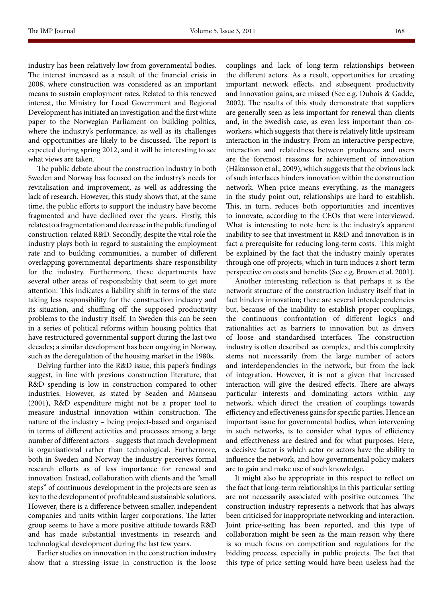industry has been relatively low from governmental bodies. The interest increased as a result of the financial crisis in 2008, where construction was considered as an important means to sustain employment rates. Related to this renewed interest, the Ministry for Local Government and Regional Development has initiated an investigation and the first white paper to the Norwegian Parliament on building politics, where the industry's performance, as well as its challenges and opportunities are likely to be discussed. The report is expected during spring 2012, and it will be interesting to see what views are taken.

The public debate about the construction industry in both Sweden and Norway has focused on the industry's needs for revitalisation and improvement, as well as addressing the lack of research. However, this study shows that, at the same time, the public efforts to support the industry have become fragmented and have declined over the years. Firstly, this relates to a fragmentation and decrease in the public funding of construction-related R&D. Secondly, despite the vital role the industry plays both in regard to sustaining the employment rate and to building communities, a number of different overlapping governmental departments share responsibility for the industry. Furthermore, these departments have several other areas of responsibility that seem to get more attention. This indicates a liability shift in terms of the state taking less responsibility for the construction industry and its situation, and shuffling off the supposed productivity problems to the industry itself. In Sweden this can be seen in a series of political reforms within housing politics that have restructured governmental support during the last two decades; a similar development has been ongoing in Norway, such as the deregulation of the housing market in the 1980s.

Delving further into the R&D issue, this paper's findings suggest, in line with previous construction literature, that R&D spending is low in construction compared to other industries. However, as stated by Seaden and Manseau (2001), R&D expenditure might not be a proper tool to measure industrial innovation within construction. The nature of the industry – being project-based and organised in terms of different activities and processes among a large number of different actors – suggests that much development is organisational rather than technological. Furthermore, both in Sweden and Norway the industry perceives formal research efforts as of less importance for renewal and innovation. Instead, collaboration with clients and the "small steps" of continuous development in the projects are seen as key to the development of profitable and sustainable solutions. However, there is a difference between smaller, independent companies and units within larger corporations. The latter group seems to have a more positive attitude towards R&D and has made substantial investments in research and technological development during the last few years.

Earlier studies on innovation in the construction industry show that a stressing issue in construction is the loose

couplings and lack of long-term relationships between the different actors. As a result, opportunities for creating important network effects, and subsequent productivity and innovation gains, are missed (See e.g. Dubois & Gadde, 2002). The results of this study demonstrate that suppliers are generally seen as less important for renewal than clients and, in the Swedish case, as even less important than coworkers, which suggests that there is relatively little upstream interaction in the industry. From an interactive perspective, interaction and relatedness between producers and users are the foremost reasons for achievement of innovation (Håkansson et al., 2009), which suggests that the obvious lack of such interfaces hinders innovation within the construction network. When price means everything, as the managers in the study point out, relationships are hard to establish. This, in turn, reduces both opportunities and incentives to innovate, according to the CEOs that were interviewed. What is interesting to note here is the industry's apparent inability to see that investment in R&D and innovation is in fact a prerequisite for reducing long-term costs. This might be explained by the fact that the industry mainly operates through one-off projects, which in turn induces a short-term perspective on costs and benefits (See e.g. Brown et al. 2001).

Another interesting reflection is that perhaps it is the network structure of the construction industry itself that in fact hinders innovation; there are several interdependencies but, because of the inability to establish proper couplings, the continuous confrontation of different logics and rationalities act as barriers to innovation but as drivers of loose and standardised interfaces. The construction industry is often described as complex, and this complexity stems not necessarily from the large number of actors and interdependencies in the network, but from the lack of integration. However, it is not a given that increased interaction will give the desired effects. There are always particular interests and dominating actors within any network, which direct the creation of couplings towards efficiency and effectiveness gains for specific parties. Hence an important issue for governmental bodies, when intervening in such networks, is to consider what types of efficiency and effectiveness are desired and for what purposes. Here, a decisive factor is which actor or actors have the ability to influence the network, and how governmental policy makers are to gain and make use of such knowledge.

It might also be appropriate in this respect to reflect on the fact that long-term relationships in this particular setting are not necessarily associated with positive outcomes. The construction industry represents a network that has always been criticised for inappropriate networking and interaction. Joint price-setting has been reported, and this type of collaboration might be seen as the main reason why there is so much focus on competition and regulations for the bidding process, especially in public projects. The fact that this type of price setting would have been useless had the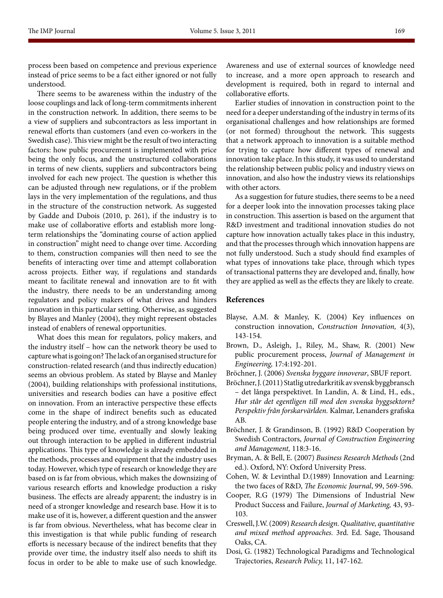process been based on competence and previous experience instead of price seems to be a fact either ignored or not fully understood.

There seems to be awareness within the industry of the loose couplings and lack of long-term commitments inherent in the construction network. In addition, there seems to be a view of suppliers and subcontractors as less important in renewal efforts than customers (and even co-workers in the Swedish case). This view might be the result of two interacting factors: how public procurement is implemented with price being the only focus, and the unstructured collaborations in terms of new clients, suppliers and subcontractors being involved for each new project. The question is whether this can be adjusted through new regulations, or if the problem lays in the very implementation of the regulations, and thus in the structure of the construction network. As suggested by Gadde and Dubois (2010, p. 261), if the industry is to make use of collaborative efforts and establish more longterm relationships the "dominating course of action applied in construction" might need to change over time. According to them, construction companies will then need to see the benefits of interacting over time and attempt collaboration across projects. Either way, if regulations and standards meant to facilitate renewal and innovation are to fit with the industry, there needs to be an understanding among regulators and policy makers of what drives and hinders innovation in this particular setting. Otherwise, as suggested by Blayes and Manley (2004), they might represent obstacles instead of enablers of renewal opportunities.

What does this mean for regulators, policy makers, and the industry itself – how can the network theory be used to capture what is going on? The lack of an organised structure for construction-related research (and thus indirectly education) seems an obvious problem. As stated by Blayse and Manley (2004), building relationships with professional institutions, universities and research bodies can have a positive effect on innovation. From an interactive perspective these effects come in the shape of indirect benefits such as educated people entering the industry, and of a strong knowledge base being produced over time, eventually and slowly leaking out through interaction to be applied in different industrial applications. This type of knowledge is already embedded in the methods, processes and equipment that the industry uses today. However, which type of research or knowledge they are based on is far from obvious, which makes the downsizing of various research efforts and knowledge production a risky business. The effects are already apparent; the industry is in need of a stronger knowledge and research base. How it is to make use of it is, however, a different question and the answer is far from obvious. Nevertheless, what has become clear in this investigation is that while public funding of research efforts is necessary because of the indirect benefits that they provide over time, the industry itself also needs to shift its focus in order to be able to make use of such knowledge.

Awareness and use of external sources of knowledge need to increase, and a more open approach to research and development is required, both in regard to internal and collaborative efforts.

Earlier studies of innovation in construction point to the need for a deeper understanding of the industry in terms of its organisational challenges and how relationships are formed (or not formed) throughout the network. This suggests that a network approach to innovation is a suitable method for trying to capture how different types of renewal and innovation take place. In this study, it was used to understand the relationship between public policy and industry views on innovation, and also how the industry views its relationships with other actors.

As a suggestion for future studies, there seems to be a need for a deeper look into the innovation processes taking place in construction. This assertion is based on the argument that R&D investment and traditional innovation studies do not capture how innovation actually takes place in this industry, and that the processes through which innovation happens are not fully understood. Such a study should find examples of what types of innovations take place, through which types of transactional patterns they are developed and, finally, how they are applied as well as the effects they are likely to create.

## **References**

- Blayse, A.M. & Manley, K. (2004) Key influences on construction innovation, *Construction Innovation,* 4(3), 143-154.
- Brown, D., Asleigh, J., Riley, M., Shaw, R. (2001) New public procurement process, *Journal of Management in Engineering,* 17:4:192-201.
- Bröchner, J. (2006) *Svenska byggare innoverar*, SBUF report.
- Bröchner, J. (2011) Statlig utredarkritik av svensk byggbransch – det långa perspektivet. In Landin, A. & Lind, H., eds., *Hur står det egentligen till med den svenska byggsektorn? Perspektiv från forskarvärlden.* Kalmar, Lenanders grafiska AB.
- Bröchner, J. & Grandinson, B. (1992) R&D Cooperation by Swedish Contractors, *Journal of Construction Engineering and Management,* 118:3-16.
- Bryman, A. & Bell, E. (2007) *Business Research Methods* (2nd ed.). Oxford, NY: Oxford University Press.
- Cohen, W. & Levinthal D.(1989) Innovation and Learning: the two faces of R&D, *The Economic Journal*, 99, 569-596.
- Cooper, R.G (1979) The Dimensions of Industrial New Product Success and Failure, *Journal of Marketing,* 43, 93- 103.
- Creswell, J.W. (2009) *Research design. Qualitative, quantitative and mixed method approaches.* 3rd. Ed. Sage, Thousand Oaks, CA.
- Dosi, G. (1982) Technological Paradigms and Technological Trajectories, *Research Policy,* 11, 147-162.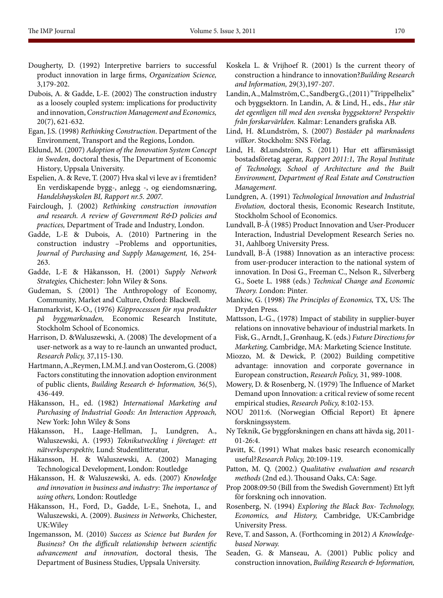- Dougherty, D. (1992) Interpretive barriers to successful product innovation in large firms, *Organization Science,* 3,179-202.
- Dubois, A. & Gadde, L-E. (2002) The construction industry as a loosely coupled system: implications for productivity and innovation, *Construction Management and Economics,* 20(7), 621-632.
- Egan, J.S. (1998) *Rethinking Construction*. Department of the Environment, Transport and the Regions, London.
- Eklund, M. (2007) *Adoption of the Innovation System Concept in Sweden*, doctoral thesis, The Department of Economic History, Uppsala University.
- Espelien, A. & Reve, T. (2007) Hva skal vi leve av i fremtiden? En verdiskapende bygg-, anlegg -, og eiendomsnæring, *Handelshøyskolen BI, Rapport nr.5. 2007.*
- Fairclough, J. (2002) *Rethinking construction innovation and research. A review of Government R&D policies and practices,* Department of Trade and Industry, London.
- Gadde, L-E & Dubois, A. (2010) Partnering in the construction industry –Problems and opportunities, *Journal of Purchasing and Supply Management,* 16, 254- 263.
- Gadde, L-E & Håkansson, H. (2001) *Supply Network Strategies,* Chichester: John Wiley & Sons.
- Gudeman, S. (2001) The Anthropology of Economy, Community, Market and Culture, Oxford: Blackwell.
- Hammarkvist, K-O., (1976) *Köpprocesssen för nya produkter på byggmarknaden,* Economic Research Institute, Stockholm School of Economics.
- Harrison, D. &Waluszewski, A. (2008) The development of a user-network as a way to re-launch an unwanted product, *Research Policy,* 37,115-130.
- Hartmann, A.,Reymen, I.M.M.J. and van Oosterom, G. (2008) Factors constituting the innovation adoption environment of public clients, *Building Research & Information,* 36(5), 436-449.
- Håkansson, H., ed. (1982) *International Marketing and Purchasing of Industrial Goods: An Interaction Approach,* New York: John Wiley & Sons
- Håkansson, H., Laage-Hellman, J., Lundgren, A., Waluszewski, A. (1993) *Teknikutveckling i företaget: ett nätverksperspektiv,* Lund: Studentlitteratur,
- Håkansson, H. & Waluszewski, A. (2002) Managing Technological Development, London: Routledge
- Håkansson, H. & Waluszewski, A. eds. (2007) *Knowledge and innovation in business and industry: The importance of using others,* London: Routledge
- Håkansson, H., Ford, D., Gadde, L-E., Snehota, I., and Waluszewski, A. (2009). *Business in Networks,* Chichester, UK:Wiley
- Ingemansson, M. (2010) *Success as Science but Burden for Business? On the difficult relationship between scientific advancement and innovation,* doctoral thesis, The Department of Business Studies, Uppsala University.
- Koskela L. & Vrijhoef R. (2001) Is the current theory of construction a hindrance to innovation?*Building Research and Information,* 29(3),197-207.
- Landin, A., Malmström, C., Sandberg G., (2011) "Trippelhelix" och byggsektorn. In Landin, A. & Lind, H., eds., *Hur står det egentligen till med den svenska byggsektorn? Perspektiv från forskarvärlden.* Kalmar: Lenanders grafiska AB.
- Lind, H. &Lundström, S. (2007) *Bostäder på marknadens villkor*. Stockholm: SNS Förlag.
- Lind, H. &Lundström, S. (2011) Hur ett affärsmässigt bostadsföretag agerar, *Rapport 2011:1, The Royal Institute of Technology, School of Architecture and the Built Environment, Department of Real Estate and Construction Management.*
- Lundgren, A. (1991) *Technological Innovation and Industrial Evolution,* doctoral thesis, Economic Research Institute, Stockholm School of Economics.
- Lundvall, B-Å (1985) Product Innovation and User-Producer Interaction, Industrial Development Research Series no. 31, Aahlborg University Press.
- Lundvall, B-Å (1988) Innovation as an interactive process: from user-producer interaction to the national system of innovation. In Dosi G., Freeman C., Nelson R., Silverberg G., Soete L. 1988 (eds.) *Technical Change and Economic Theory. L*ondon: Pinter.
- Mankiw, G. (1998) *The Principles of Economics,* TX, US: The Dryden Press.
- Mattsson, L-G., (1978) Impact of stability in supplier-buyer relations on innovative behaviour of industrial markets. In Fisk, G., Arndt, J., Grønhaug, K. (eds.) *Future Directions for Marketing,* Cambridge, MA: Marketing Science Institute.
- Miozzo, M. & Dewick, P. (2002) Building competitive advantage: innovation and corporate governance in European construction, *Research Policy,* 31, 989-1008.
- Mowery, D. & Rosenberg, N. (1979) The Influence of Market Demand upon Innovation: a critical review of some recent empirical studies, *Research Policy,* 8:102-153.
- NOU 2011:6. (Norwegian Official Report) Et åpnere forskningssystem.
- Ny Teknik, Ge byggforskningen en chans att hävda sig, 2011- 01-26:4.
- Pavitt, K. (1991) What makes basic research economically useful?*Research Policy,* 20:109-119.
- Patton, M. Q. (2002.) *Qualitative evaluation and research methods* (2nd ed.). Thousand Oaks, CA: Sage.
- Prop 2008:09:50 (Bill from the Swedish Government) Ett lyft för forskning och innovation.
- Rosenberg, N. (1994) *Exploring the Black Box- Technology, Economics, and History,* Cambridge, UK:Cambridge University Press.
- Reve, T. and Sasson, A. (Forthcoming in 2012) *A Knowledgebased Norway.*
- Seaden, G. & Manseau, A. (2001) Public policy and construction innovation, *Building Research & Information,*